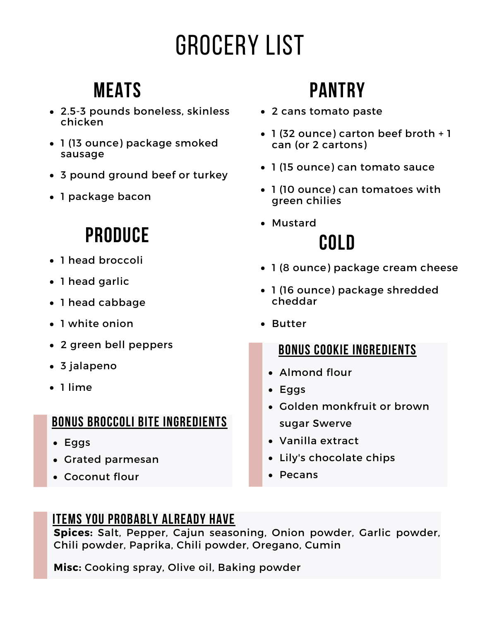# Grocery List

### **Meats**

- 2.5-3 pounds boneless, skinless chicken
- 1 (13 ounce) package smoked sausage
- 3 pound ground beef or turkey
- 1 package bacon

## **Produce**

- 1 head broccoli
- 1 head garlic
- 1 head cabbage
- 1 white onion
- 2 green bell peppers
- 3 jalapeno
- 1 lime

### **Bonus Broccoli Bite ingredients**

- Eggs
- Grated parmesan
- Coconut flour

## **Pantry**

- 2 cans tomato paste
- 1 (32 ounce) carton beef broth + 1 can (or 2 cartons)
- 1 (15 ounce) can tomato sauce
- 1 (10 ounce) can tomatoes with green chilies
- Mustard **Cold**
- 1 (8 ounce) package cream cheese
- 1 (16 ounce) package shredded cheddar
- Butter

### **Bonus cookie ingredients**

- Almond flour
- Eggs
- Golden monkfruit or brown sugar Swerve
- Vanilla extract
- Lily's chocolate chips
- Pecans

### **Items you probably already have**

**Spices:** Salt, Pepper, Cajun seasoning, Onion powder, Garlic powder, Chili powder, Paprika, Chili powder, Oregano, Cumin

**Misc:** Cooking spray, Olive oil, Baking powder